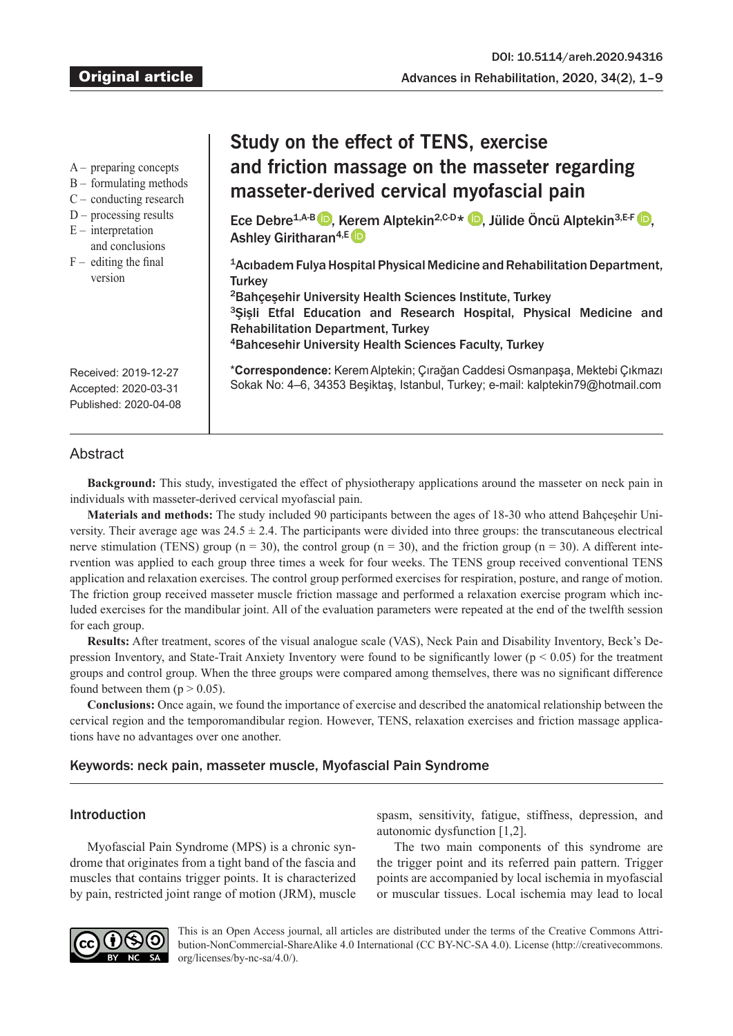| preparing concepts |  |
|--------------------|--|
|                    |  |
|                    |  |

- B formulating methods
- C conducting research
- $D$  processing results
- $E$  interpretation
- and conclusions
- $F -$  editing the final version

# **Study on the effect of TENS, exercise and friction massage on the masseter regarding masseter-derived cervical myofascial pain**

EceDebre<sup>1,A-B</sup> , K[ere](https://orcid.org/0000-0002-9262-0738)m Alptekin<sup>2[,](https://orcid.org/0000-0001-8362-6743)C-D\*</sup> D, Jülide Öncü Alptekin<sup>3,E-F</sup> D, Ashley Giritharan<sup>4,E</sup>

<sup>1</sup>Acıbadem Fulya Hospital Physical Medicine and Rehabilitation Department, **Turkey** 

Bahçeşehir University Health Sciences Institute, Turkey Şişli Etfal Education and Research Hospital, Physical Medicine and Rehabilitation Department, Turkey Bahcesehir University Health Sciences Faculty, Turkey

\***Correspondence:** Kerem Alptekin; Çırağan Caddesi Osmanpaşa, Mektebi Çıkmazı Sokak No: 4–6, 34353 Beşiktaş, Istanbul, Turkey; e-mail: kalptekin79@hotmail.com

Received: 2019-12-27 Accepted: 2020-03-31 Published: 2020-04-08

# **Abstract**

**Background:** This study, investigated the effect of physiotherapy applications around the masseter on neck pain in individuals with masseter-derived cervical myofascial pain.

**Materials and methods:** The study included 90 participants between the ages of 18-30 who attend Bahçeşehir University. Their average age was  $24.5 \pm 2.4$ . The participants were divided into three groups: the transcutaneous electrical nerve stimulation (TENS) group ( $n = 30$ ), the control group ( $n = 30$ ), and the friction group ( $n = 30$ ). A different intervention was applied to each group three times a week for four weeks. The TENS group received conventional TENS application and relaxation exercises. The control group performed exercises for respiration, posture, and range of motion. The friction group received masseter muscle friction massage and performed a relaxation exercise program which included exercises for the mandibular joint. All of the evaluation parameters were repeated at the end of the twelfth session for each group.

**Results:** After treatment, scores of the visual analogue scale (VAS), Neck Pain and Disability Inventory, Beck's Depression Inventory, and State-Trait Anxiety Inventory were found to be significantly lower ( $p < 0.05$ ) for the treatment groups and control group. When the three groups were compared among themselves, there was no significant difference found between them ( $p > 0.05$ ).

**Conclusions:** Once again, we found the importance of exercise and described the anatomical relationship between the cervical region and the temporomandibular region. However, TENS, relaxation exercises and friction massage applications have no advantages over one another.

# Keywords: neck pain, masseter muscle, Myofascial Pain Syndrome

# Introduction

Myofascial Pain Syndrome (MPS) is a chronic syndrome that originates from a tight band of the fascia and muscles that contains trigger points. It is characterized by pain, restricted joint range of motion (JRM), muscle spasm, sensitivity, fatigue, stiffness, depression, and autonomic dysfunction [1,2].

The two main components of this syndrome are the trigger point and its referred pain pattern. Trigger points are accompanied by local ischemia in myofascial or muscular tissues. Local ischemia may lead to local



This is an Open Access journal, all articles are distributed under the terms of the Creative Commons Attribution-NonCommercial-ShareAlike 4.0 International (CC BY-NC-SA 4.0). License (http://creativecommons. org/licenses/by-nc-sa/4.0/).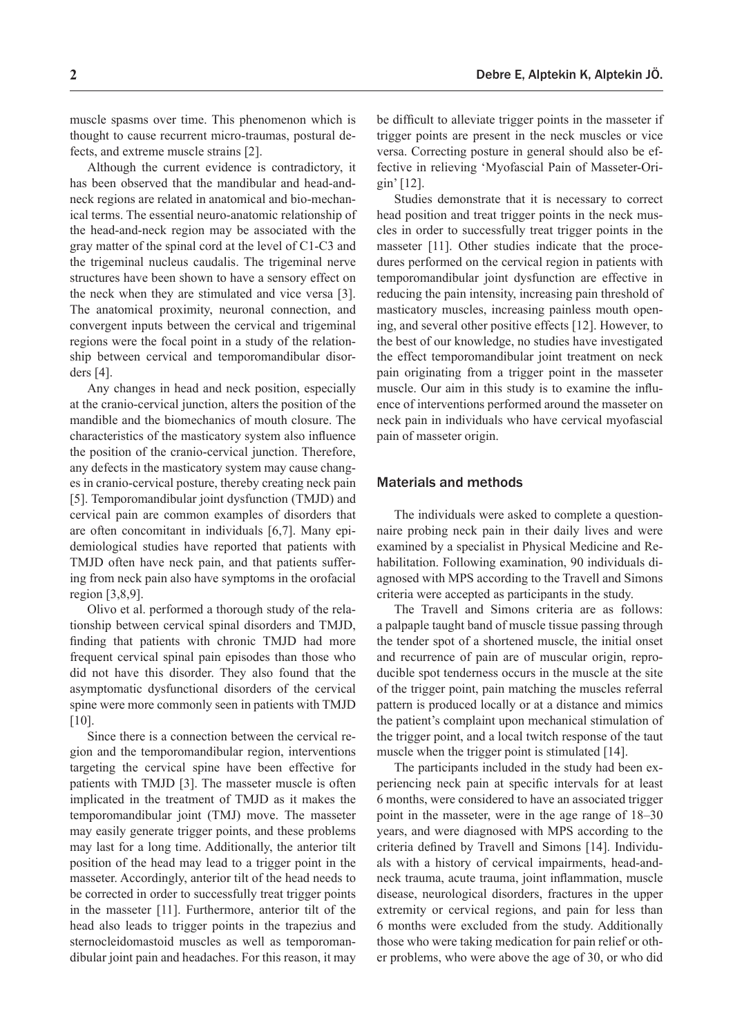Although the current evidence is contradictory, it has been observed that the mandibular and head-andneck regions are related in anatomical and bio-mechanical terms. The essential neuro-anatomic relationship of the head-and-neck region may be associated with the gray matter of the spinal cord at the level of C1-C3 and the trigeminal nucleus caudalis. The trigeminal nerve structures have been shown to have a sensory effect on the neck when they are stimulated and vice versa [3]. The anatomical proximity, neuronal connection, and convergent inputs between the cervical and trigeminal regions were the focal point in a study of the relationship between cervical and temporomandibular disorders [4].

Any changes in head and neck position, especially at the cranio-cervical junction, alters the position of the mandible and the biomechanics of mouth closure. The characteristics of the masticatory system also influence the position of the cranio-cervical junction. Therefore, any defects in the masticatory system may cause changes in cranio-cervical posture, thereby creating neck pain [5]. Temporomandibular joint dysfunction (TMJD) and cervical pain are common examples of disorders that are often concomitant in individuals [6,7]. Many epidemiological studies have reported that patients with TMJD often have neck pain, and that patients suffering from neck pain also have symptoms in the orofacial region [3,8,9].

Olivo et al. performed a thorough study of the relationship between cervical spinal disorders and TMJD, finding that patients with chronic TMJD had more frequent cervical spinal pain episodes than those who did not have this disorder. They also found that the asymptomatic dysfunctional disorders of the cervical spine were more commonly seen in patients with TMJD [10].

Since there is a connection between the cervical region and the temporomandibular region, interventions targeting the cervical spine have been effective for patients with TMJD [3]. The masseter muscle is often implicated in the treatment of TMJD as it makes the temporomandibular joint (TMJ) move. The masseter may easily generate trigger points, and these problems may last for a long time. Additionally, the anterior tilt position of the head may lead to a trigger point in the masseter. Accordingly, anterior tilt of the head needs to be corrected in order to successfully treat trigger points in the masseter [11]. Furthermore, anterior tilt of the head also leads to trigger points in the trapezius and sternocleidomastoid muscles as well as temporomandibular joint pain and headaches. For this reason, it may

be difficult to alleviate trigger points in the masseter if trigger points are present in the neck muscles or vice versa. Correcting posture in general should also be effective in relieving 'Myofascial Pain of Masseter-Origin' [12].

Studies demonstrate that it is necessary to correct head position and treat trigger points in the neck muscles in order to successfully treat trigger points in the masseter [11]. Other studies indicate that the procedures performed on the cervical region in patients with temporomandibular joint dysfunction are effective in reducing the pain intensity, increasing pain threshold of masticatory muscles, increasing painless mouth opening, and several other positive effects [12]. However, to the best of our knowledge, no studies have investigated the effect temporomandibular joint treatment on neck pain originating from a trigger point in the masseter muscle. Our aim in this study is to examine the influence of interventions performed around the masseter on neck pain in individuals who have cervical myofascial pain of masseter origin.

## Materials and methods

The individuals were asked to complete a questionnaire probing neck pain in their daily lives and were examined by a specialist in Physical Medicine and Rehabilitation. Following examination, 90 individuals diagnosed with MPS according to the Travell and Simons criteria were accepted as participants in the study.

The Travell and Simons criteria are as follows: a palpaple taught band of muscle tissue passing through the tender spot of a shortened muscle, the initial onset and recurrence of pain are of muscular origin, reproducible spot tenderness occurs in the muscle at the site of the trigger point, pain matching the muscles referral pattern is produced locally or at a distance and mimics the patient's complaint upon mechanical stimulation of the trigger point, and a local twitch response of the taut muscle when the trigger point is stimulated [14].

The participants included in the study had been experiencing neck pain at specific intervals for at least 6 months, were considered to have an associated trigger point in the masseter, were in the age range of 18–30 years, and were diagnosed with MPS according to the criteria defined by Travell and Simons [14]. Individuals with a history of cervical impairments, head-andneck trauma, acute trauma, joint inflammation, muscle disease, neurological disorders, fractures in the upper extremity or cervical regions, and pain for less than 6 months were excluded from the study. Additionally those who were taking medication for pain relief or other problems, who were above the age of 30, or who did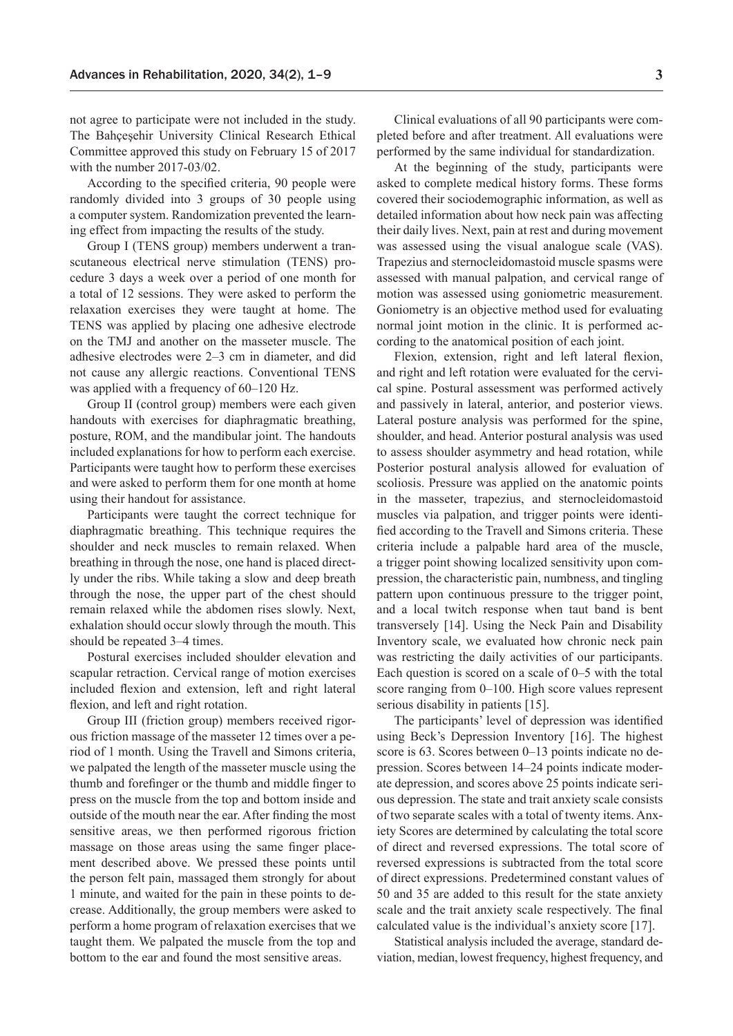not agree to participate were not included in the study. The Bahçeşehir University Clinical Research Ethical Committee approved this study on February 15 of 2017 with the number 2017-03/02.

According to the specified criteria, 90 people were randomly divided into 3 groups of 30 people using a computer system. Randomization prevented the learning effect from impacting the results of the study.

Group I (TENS group) members underwent a transcutaneous electrical nerve stimulation (TENS) procedure 3 days a week over a period of one month for a total of 12 sessions. They were asked to perform the relaxation exercises they were taught at home. The TENS was applied by placing one adhesive electrode on the TMJ and another on the masseter muscle. The adhesive electrodes were 2–3 cm in diameter, and did not cause any allergic reactions. Conventional TENS was applied with a frequency of 60–120 Hz.

Group II (control group) members were each given handouts with exercises for diaphragmatic breathing, posture, ROM, and the mandibular joint. The handouts included explanations for how to perform each exercise. Participants were taught how to perform these exercises and were asked to perform them for one month at home using their handout for assistance.

Participants were taught the correct technique for diaphragmatic breathing. This technique requires the shoulder and neck muscles to remain relaxed. When breathing in through the nose, one hand is placed directly under the ribs. While taking a slow and deep breath through the nose, the upper part of the chest should remain relaxed while the abdomen rises slowly. Next, exhalation should occur slowly through the mouth. This should be repeated 3–4 times.

Postural exercises included shoulder elevation and scapular retraction. Cervical range of motion exercises included flexion and extension, left and right lateral flexion, and left and right rotation.

Group III (friction group) members received rigorous friction massage of the masseter 12 times over a period of 1 month. Using the Travell and Simons criteria, we palpated the length of the masseter muscle using the thumb and forefinger or the thumb and middle finger to press on the muscle from the top and bottom inside and outside of the mouth near the ear. After finding the most sensitive areas, we then performed rigorous friction massage on those areas using the same finger placement described above. We pressed these points until the person felt pain, massaged them strongly for about 1 minute, and waited for the pain in these points to decrease. Additionally, the group members were asked to perform a home program of relaxation exercises that we taught them. We palpated the muscle from the top and bottom to the ear and found the most sensitive areas.

Clinical evaluations of all 90 participants were completed before and after treatment. All evaluations were performed by the same individual for standardization.

At the beginning of the study, participants were asked to complete medical history forms. These forms covered their sociodemographic information, as well as detailed information about how neck pain was affecting their daily lives. Next, pain at rest and during movement was assessed using the visual analogue scale (VAS). Trapezius and sternocleidomastoid muscle spasms were assessed with manual palpation, and cervical range of motion was assessed using goniometric measurement. Goniometry is an objective method used for evaluating normal joint motion in the clinic. It is performed according to the anatomical position of each joint.

Flexion, extension, right and left lateral flexion, and right and left rotation were evaluated for the cervical spine. Postural assessment was performed actively and passively in lateral, anterior, and posterior views. Lateral posture analysis was performed for the spine, shoulder, and head. Anterior postural analysis was used to assess shoulder asymmetry and head rotation, while Posterior postural analysis allowed for evaluation of scoliosis. Pressure was applied on the anatomic points in the masseter, trapezius, and sternocleidomastoid muscles via palpation, and trigger points were identified according to the Travell and Simons criteria. These criteria include a palpable hard area of the muscle, a trigger point showing localized sensitivity upon compression, the characteristic pain, numbness, and tingling pattern upon continuous pressure to the trigger point, and a local twitch response when taut band is bent transversely [14]. Using the Neck Pain and Disability Inventory scale, we evaluated how chronic neck pain was restricting the daily activities of our participants. Each question is scored on a scale of 0–5 with the total score ranging from 0–100. High score values represent serious disability in patients [15].

The participants' level of depression was identified using Beck's Depression Inventory [16]. The highest score is 63. Scores between 0–13 points indicate no depression. Scores between 14–24 points indicate moderate depression, and scores above 25 points indicate serious depression. The state and trait anxiety scale consists of two separate scales with a total of twenty items. Anxiety Scores are determined by calculating the total score of direct and reversed expressions. The total score of reversed expressions is subtracted from the total score of direct expressions. Predetermined constant values of 50 and 35 are added to this result for the state anxiety scale and the trait anxiety scale respectively. The final calculated value is the individual's anxiety score [17].

Statistical analysis included the average, standard deviation, median, lowest frequency, highest frequency, and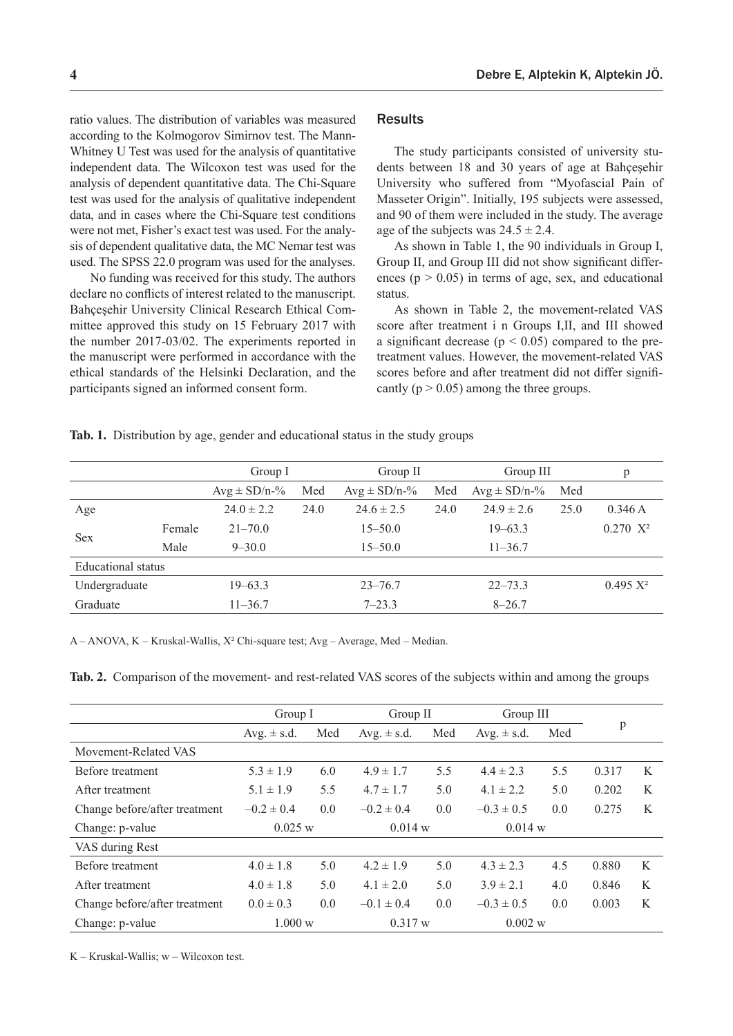ratio values. The distribution of variables was measured according to the Kolmogorov Simirnov test. The Mann-Whitney U Test was used for the analysis of quantitative independent data. The Wilcoxon test was used for the analysis of dependent quantitative data. The Chi-Square test was used for the analysis of qualitative independent data, and in cases where the Chi-Square test conditions were not met, Fisher's exact test was used. For the analysis of dependent qualitative data, the MC Nemar test was used. The SPSS 22.0 program was used for the analyses.

 No funding was received for this study. The authors declare no conflicts of interest related to the manuscript. Bahçeşehir University Clinical Research Ethical Committee approved this study on 15 February 2017 with the number 2017-03/02. The experiments reported in the manuscript were performed in accordance with the ethical standards of the Helsinki Declaration, and the participants signed an informed consent form.

## **Results**

The study participants consisted of university students between 18 and 30 years of age at Bahçeşehir University who suffered from "Myofascial Pain of Masseter Origin". Initially, 195 subjects were assessed, and 90 of them were included in the study. The average age of the subjects was  $24.5 \pm 2.4$ .

As shown in Table 1, the 90 individuals in Group I, Group II, and Group III did not show significant differences ( $p > 0.05$ ) in terms of age, sex, and educational status.

As shown in Table 2, the movement-related VAS score after treatment i n Groups I,II, and III showed a significant decrease ( $p < 0.05$ ) compared to the pretreatment values. However, the movement-related VAS scores before and after treatment did not differ significantly ( $p > 0.05$ ) among the three groups.

**Tab. 1.** Distribution by age, gender and educational status in the study groups

|                    |        | Group I                  |      | Group II          |      | Group III         |      | p           |
|--------------------|--------|--------------------------|------|-------------------|------|-------------------|------|-------------|
|                    |        | $Avg \pm SD/n-\%$<br>Med |      | $Avg \pm SD/n-$ % | Med  | $Avg \pm SD/n-$ % | Med  |             |
| Age                |        | $24.0 \pm 2.2$           | 24.0 | $24.6 \pm 2.5$    | 24.0 | $24.9 \pm 2.6$    | 25.0 | 0.346A      |
| <b>Sex</b>         | Female | $21 - 70.0$              |      | $15 - 50.0$       |      | $19 - 63.3$       |      | $0.270 X^2$ |
|                    | Male   | $9 - 30.0$               |      | $15 - 50.0$       |      | $11 - 36.7$       |      |             |
| Educational status |        |                          |      |                   |      |                   |      |             |
| Undergraduate      |        | $19 - 63.3$              |      | $23 - 76.7$       |      | $22 - 73.3$       |      | $0.495 X^2$ |
| Graduate           |        | $11 - 36.7$              |      | $7 - 23.3$        |      | $8 - 26.7$        |      |             |

A – ANOVA, K – Kruskal-Wallis, X² Chi-square test; Avg – Average, Med – Median.

**Tab. 2.** Comparison of the movement- and rest-related VAS scores of the subjects within and among the groups

|                               | Group I         |     | Group II        |     | Group III              |     |       |   |
|-------------------------------|-----------------|-----|-----------------|-----|------------------------|-----|-------|---|
|                               | Avg. $\pm$ s.d. | Med | Avg. $\pm$ s.d. | Med | Med<br>Avg. $\pm$ s.d. |     | p     |   |
| Movement-Related VAS          |                 |     |                 |     |                        |     |       |   |
| Before treatment              | $5.3 \pm 1.9$   | 6.0 | $4.9 \pm 1.7$   | 5.5 | $4.4 \pm 2.3$          | 5.5 | 0.317 | K |
| After treatment               | $5.1 \pm 1.9$   | 5.5 | $4.7 \pm 1.7$   | 5.0 | $4.1 \pm 2.2$          | 5.0 | 0.202 | K |
| Change before/after treatment | $-0.2 \pm 0.4$  | 0.0 | $-0.2 \pm 0.4$  | 0.0 | $-0.3 \pm 0.5$         | 0.0 | 0.275 | K |
| Change: p-value               | 0.025 w         |     | 0.014 w         |     | 0.014 w                |     |       |   |
| VAS during Rest               |                 |     |                 |     |                        |     |       |   |
| Before treatment              | $4.0 \pm 1.8$   | 5.0 | $4.2 \pm 1.9$   | 5.0 | $4.3 \pm 2.3$          | 4.5 | 0.880 | K |
| After treatment               | $4.0 \pm 1.8$   | 5.0 | $4.1 \pm 2.0$   | 5.0 | $3.9 \pm 2.1$          | 4.0 | 0.846 | K |
| Change before/after treatment | $0.0 \pm 0.3$   | 0.0 | $-0.1 \pm 0.4$  | 0.0 | $-0.3 \pm 0.5$         | 0.0 | 0.003 | K |
| Change: p-value               | 1.000 w         |     | 0.317 w         |     | 0.002 w                |     |       |   |

K – Kruskal-Wallis; w – Wilcoxon test.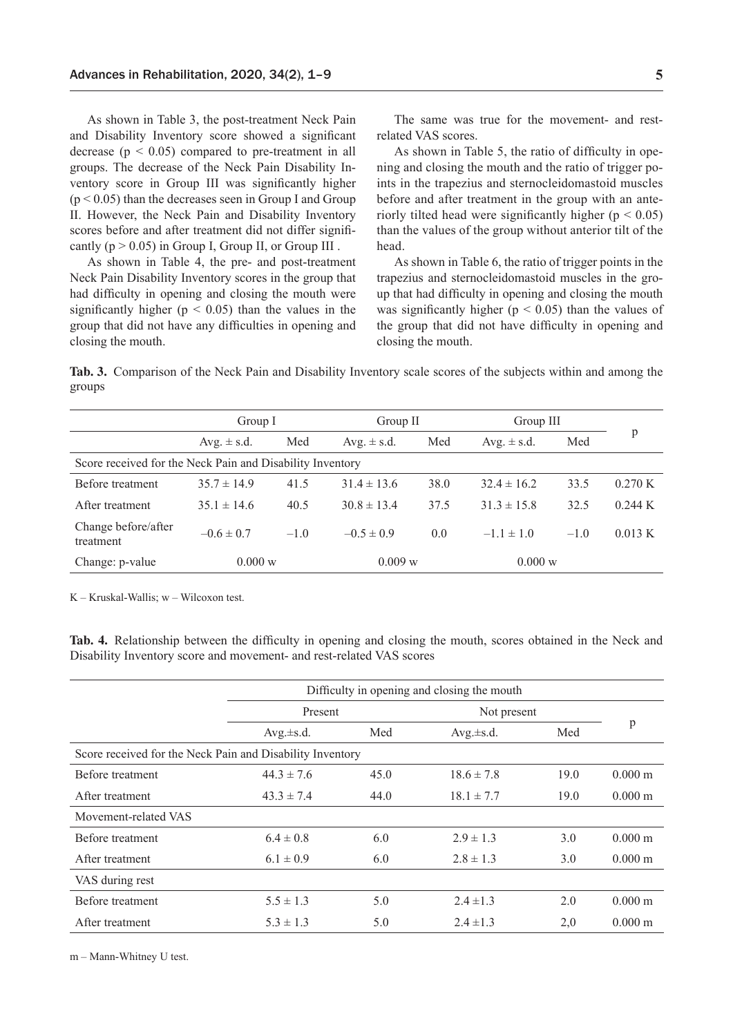As shown in Table 3, the post-treatment Neck Pain and Disability Inventory score showed a significant decrease  $(p < 0.05)$  compared to pre-treatment in all groups. The decrease of the Neck Pain Disability Inventory score in Group III was significantly higher  $(p < 0.05)$  than the decreases seen in Group I and Group II. However, the Neck Pain and Disability Inventory scores before and after treatment did not differ significantly  $(p > 0.05)$  in Group I, Group II, or Group III.

As shown in Table 4, the pre- and post-treatment Neck Pain Disability Inventory scores in the group that had difficulty in opening and closing the mouth were significantly higher ( $p < 0.05$ ) than the values in the group that did not have any difficulties in opening and closing the mouth.

The same was true for the movement- and restrelated VAS scores.

As shown in Table 5, the ratio of difficulty in opening and closing the mouth and the ratio of trigger points in the trapezius and sternocleidomastoid muscles before and after treatment in the group with an anteriorly tilted head were significantly higher ( $p < 0.05$ ) than the values of the group without anterior tilt of the head.

As shown in Table 6, the ratio of trigger points in the trapezius and sternocleidomastoid muscles in the group that had difficulty in opening and closing the mouth was significantly higher ( $p < 0.05$ ) than the values of the group that did not have difficulty in opening and closing the mouth.

**Tab. 3.** Comparison of the Neck Pain and Disability Inventory scale scores of the subjects within and among the groups

|                                                           | Group I           |        | Group II        |         | Group III       |         |                   |
|-----------------------------------------------------------|-------------------|--------|-----------------|---------|-----------------|---------|-------------------|
|                                                           | Avg. $\pm$ s.d.   | Med    | Avg. $\pm$ s.d. | Med     | Avg. $\pm$ s.d. | Med     | p                 |
| Score received for the Neck Pain and Disability Inventory |                   |        |                 |         |                 |         |                   |
| Before treatment                                          | $35.7 \pm 14.9$   | 41.5   | $31.4 \pm 13.6$ | 38.0    | $32.4 \pm 16.2$ | 33.5    | 0.270 K           |
| A fter treatment                                          | $35.1 \pm 14.6$   | 40.5   | $30.8 \pm 13.4$ | 37.5    | $31.3 \pm 15.8$ | 32.5    | $0.244 \text{ K}$ |
| Change before/after<br>treatment                          | $-0.6 \pm 0.7$    | $-1.0$ | $-0.5 \pm 0.9$  | 0.0     | $-1.1 \pm 1.0$  | $-1.0$  | 0.013 K           |
| Change: p-value                                           | $0.000 \text{ w}$ |        |                 | 0.009 w |                 | 0.000 w |                   |
|                                                           |                   |        |                 |         |                 |         |                   |

K – Kruskal-Wallis; w – Wilcoxon test.

**Tab. 4.** Relationship between the difficulty in opening and closing the mouth, scores obtained in the Neck and Disability Inventory score and movement- and rest-related VAS scores

|                                                           | Difficulty in opening and closing the mouth |      |                |      |                       |  |  |
|-----------------------------------------------------------|---------------------------------------------|------|----------------|------|-----------------------|--|--|
|                                                           | Present                                     |      | Not present    |      |                       |  |  |
|                                                           | $Avg.\pm s.d.$                              | Med  | $Avg.\pm s.d.$ | Med  | p                     |  |  |
| Score received for the Neck Pain and Disability Inventory |                                             |      |                |      |                       |  |  |
| Before treatment                                          | $44.3 \pm 7.6$                              | 45.0 | $18.6 \pm 7.8$ | 19.0 | $0.000 \text{ m}$     |  |  |
| After treatment                                           | $43.3 \pm 7.4$                              | 44.0 | $18.1 \pm 7.7$ | 19.0 | $0.000 \text{ m}$     |  |  |
| Movement-related VAS                                      |                                             |      |                |      |                       |  |  |
| Before treatment                                          | $6.4 \pm 0.8$                               | 6.0  | $2.9 \pm 1.3$  | 3.0  | $0.000 \text{ m}$     |  |  |
| After treatment                                           | $6.1 \pm 0.9$                               | 6.0  | $2.8 \pm 1.3$  | 3.0  | $0.000 \text{ m}$     |  |  |
| VAS during rest                                           |                                             |      |                |      |                       |  |  |
| Before treatment                                          | $5.5 \pm 1.3$                               | 5.0  | $2.4 \pm 1.3$  | 2.0  | $0.000 \; \mathrm{m}$ |  |  |
| After treatment                                           | $5.3 \pm 1.3$                               | 5.0  | $2.4 \pm 1.3$  | 2,0  | $0.000 \text{ m}$     |  |  |

m – Mann-Whitney U test.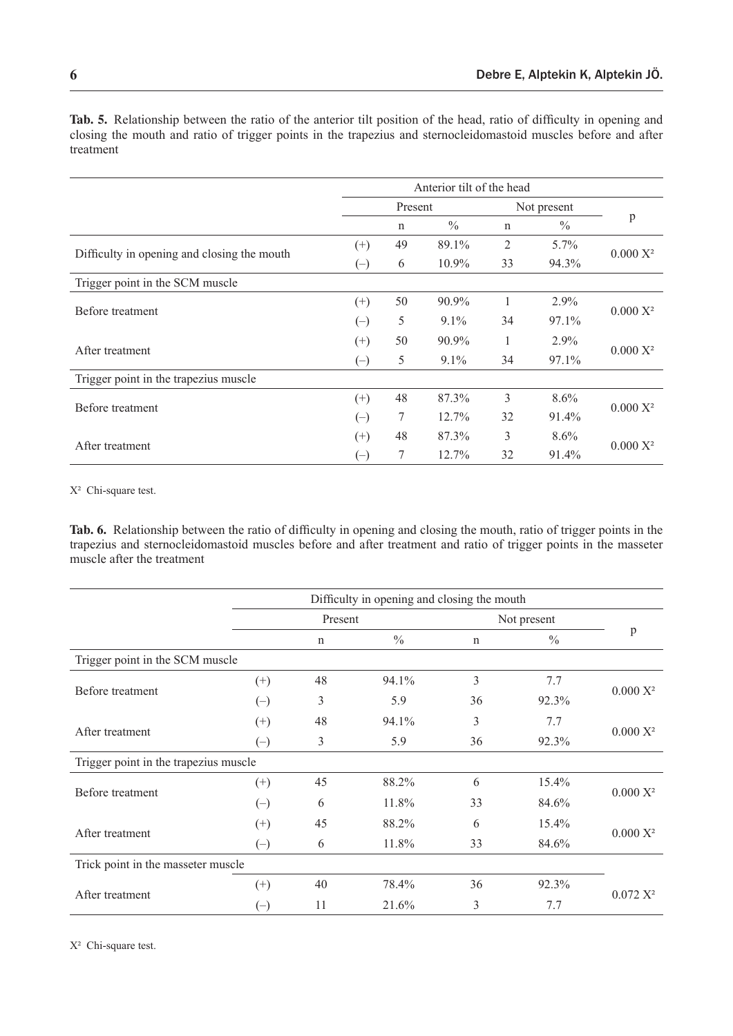|                                             | Anterior tilt of the head |         |               |             |               |             |  |
|---------------------------------------------|---------------------------|---------|---------------|-------------|---------------|-------------|--|
|                                             |                           | Present |               |             | Not present   |             |  |
|                                             |                           | n       | $\frac{0}{0}$ | $\mathbf n$ | $\frac{0}{0}$ | p           |  |
|                                             | $^{(+)}$                  | 49      | 89.1%         | 2           | 5.7%          |             |  |
| Difficulty in opening and closing the mouth | $(-)$                     | 6       | $10.9\%$      | 33          | 94.3%         | $0.000 X^2$ |  |
| Trigger point in the SCM muscle             |                           |         |               |             |               |             |  |
| Before treatment                            | $^{(+)}$                  | 50      | 90.9%         |             | 2.9%          | $0.000 X^2$ |  |
|                                             | $(-)$                     | 5       | $9.1\%$       | 34          | 97.1%         |             |  |
|                                             | $^{(+)}$                  | 50      | 90.9%         | 1           | 2.9%          | $0.000 X^2$ |  |
| After treatment                             | $(-)$                     | 5       | $9.1\%$       | 34          | 97.1%         |             |  |
| Trigger point in the trapezius muscle       |                           |         |               |             |               |             |  |
|                                             | $^{(+)}$                  | 48      | 87.3%         | 3           | $8.6\%$       |             |  |
| Before treatment                            | $(-)$                     | 7       | $12.7\%$      | 32          | 91.4%         | $0.000 X^2$ |  |
|                                             | $(+)$                     | 48      | 87.3%         | 3           | 8.6%          |             |  |
| After treatment                             | $(-)$                     | 7       | 12.7%         | 32          | 91.4%         | $0.000 X^2$ |  |

**Tab. 5.** Relationship between the ratio of the anterior tilt position of the head, ratio of difficulty in opening and closing the mouth and ratio of trigger points in the trapezius and sternocleidomastoid muscles before and after treatment

X² Chi-square test.

**Tab. 6.** Relationship between the ratio of difficulty in opening and closing the mouth, ratio of trigger points in the trapezius and sternocleidomastoid muscles before and after treatment and ratio of trigger points in the masseter muscle after the treatment

|                                       |               | Difficulty in opening and closing the mouth |               |             |               |             |  |
|---------------------------------------|---------------|---------------------------------------------|---------------|-------------|---------------|-------------|--|
|                                       |               | Present                                     |               | Not present |               |             |  |
|                                       |               | $\mathbf n$                                 | $\frac{0}{0}$ | $\mathbf n$ | $\frac{0}{0}$ | p           |  |
| Trigger point in the SCM muscle       |               |                                             |               |             |               |             |  |
|                                       | $^{(+)}$      | 48                                          | 94.1%         | 3           | 7.7           |             |  |
| Before treatment                      | $(-)$         | 3                                           | 5.9           | 36          | 92.3%         | $0.000 X^2$ |  |
|                                       | $^{(+)}$      | 48                                          | 94.1%         | 3           | 7.7           |             |  |
| After treatment                       | $(\text{--})$ | 3                                           | 5.9           | 36          | 92.3%         | $0.000 X^2$ |  |
| Trigger point in the trapezius muscle |               |                                             |               |             |               |             |  |
|                                       | $(+)$         | 45                                          | 88.2%         | 6           | $15.4\%$      |             |  |
| Before treatment                      | $(-)$         | 6                                           | 11.8%         | 33          | 84.6%         | $0.000 X^2$ |  |
|                                       | $^{(+)}$      | 45                                          | 88.2%         | 6           | 15.4%         |             |  |
| After treatment                       | $(-)$         | 6                                           | 11.8%         | 33          | 84.6%         | $0.000 X^2$ |  |
| Trick point in the masseter muscle    |               |                                             |               |             |               |             |  |
|                                       | $^{(+)}$      | 40                                          | 78.4%         | 36          | 92.3%         |             |  |
| After treatment                       | $(-)$         | 11                                          | 21.6%         | 3           | 7.7           | $0.072 X^2$ |  |

X² Chi-square test.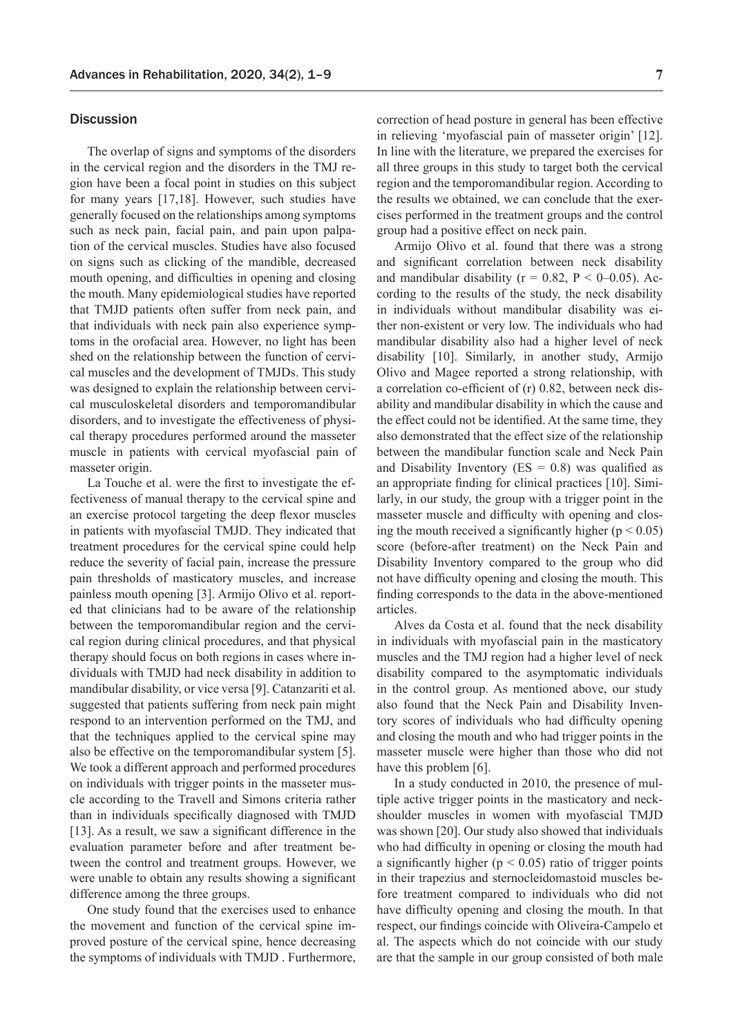#### **Discussion**

The overlap of signs and symptoms of the disorders in the cervical region and the disorders in the TMJ region have been a focal point in studies on this subject for many years [17,18]. However, such studies have generally focused on the relationships among symptoms such as neck pain, facial pain, and pain upon palpation of the cervical muscles. Studies have also focused on signs such as clicking of the mandible, decreased mouth opening, and difficulties in opening and closing the mouth. Many epidemiological studies have reported that TMJD patients often suffer from neck pain, and that individuals with neck pain also experience symptoms in the orofacial area. However, no light has been shed on the relationship between the function of cervical muscles and the development of TMJDs. This study was designed to explain the relationship between cervical musculoskeletal disorders and temporomandibular disorders, and to investigate the effectiveness of physical therapy procedures performed around the masseter muscle in patients with cervical myofascial pain of masseter origin.

La Touche et al. were the first to investigate the effectiveness of manual therapy to the cervical spine and an exercise protocol targeting the deep flexor muscles in patients with myofascial TMJD. They indicated that treatment procedures for the cervical spine could help reduce the severity of facial pain, increase the pressure pain thresholds of masticatory muscles, and increase painless mouth opening [3]. Armijo Olivo et al. reported that clinicians had to be aware of the relationship between the temporomandibular region and the cervical region during clinical procedures, and that physical therapy should focus on both regions in cases where individuals with TMJD had neck disability in addition to mandibular disability, or vice versa [9]. Catanzariti et al. suggested that patients suffering from neck pain might respond to an intervention performed on the TMJ, and that the techniques applied to the cervical spine may also be effective on the temporomandibular system [5]. We took a different approach and performed procedures on individuals with trigger points in the masseter muscle according to the Travell and Simons criteria rather than in individuals specifically diagnosed with TMJD [13]. As a result, we saw a significant difference in the evaluation parameter before and after treatment between the control and treatment groups. However, we were unable to obtain any results showing a significant difference among the three groups.

One study found that the exercises used to enhance the movement and function of the cervical spine improved posture of the cervical spine, hence decreasing the symptoms of individuals with TMJD . Furthermore, correction of head posture in general has been effective in relieving 'myofascial pain of masseter origin' [12]. In line with the literature, we prepared the exercises for all three groups in this study to target both the cervical region and the temporomandibular region. According to the results we obtained, we can conclude that the exercises performed in the treatment groups and the control group had a positive effect on neck pain.

Armijo Olivo et al. found that there was a strong and significant correlation between neck disability and mandibular disability ( $r = 0.82$ ,  $P < 0-0.05$ ). According to the results of the study, the neck disability in individuals without mandibular disability was either non-existent or very low. The individuals who had mandibular disability also had a higher level of neck disability [10]. Similarly, in another study, Armijo Olivo and Magee reported a strong relationship, with a correlation co-efficient of (r) 0.82, between neck disability and mandibular disability in which the cause and the effect could not be identified. At the same time, they also demonstrated that the effect size of the relationship between the mandibular function scale and Neck Pain and Disability Inventory ( $ES = 0.8$ ) was qualified as an appropriate finding for clinical practices [10]. Similarly, in our study, the group with a trigger point in the masseter muscle and difficulty with opening and closing the mouth received a significantly higher ( $p < 0.05$ ) score (before-after treatment) on the Neck Pain and Disability Inventory compared to the group who did not have difficulty opening and closing the mouth. This finding corresponds to the data in the above-mentioned articles.

Alves da Costa et al. found that the neck disability in individuals with myofascial pain in the masticatory muscles and the TMJ region had a higher level of neck disability compared to the asymptomatic individuals in the control group. As mentioned above, our study also found that the Neck Pain and Disability Inventory scores of individuals who had difficulty opening and closing the mouth and who had trigger points in the masseter muscle were higher than those who did not have this problem [6].

In a study conducted in 2010, the presence of multiple active trigger points in the masticatory and neckshoulder muscles in women with myofascial TMJD was shown [20]. Our study also showed that individuals who had difficulty in opening or closing the mouth had a significantly higher ( $p < 0.05$ ) ratio of trigger points in their trapezius and sternocleidomastoid muscles before treatment compared to individuals who did not have difficulty opening and closing the mouth. In that respect, our findings coincide with Oliveira-Campelo et al. The aspects which do not coincide with our study are that the sample in our group consisted of both male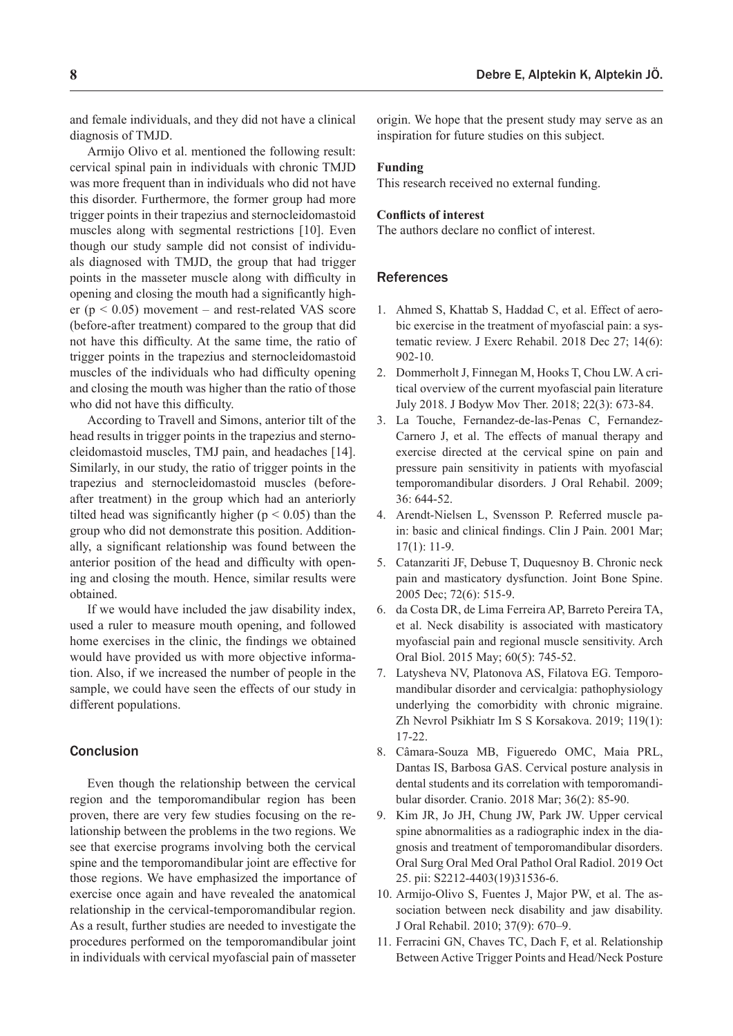and female individuals, and they did not have a clinical diagnosis of TMJD.

Armijo Olivo et al. mentioned the following result: cervical spinal pain in individuals with chronic TMJD was more frequent than in individuals who did not have this disorder. Furthermore, the former group had more trigger points in their trapezius and sternocleidomastoid muscles along with segmental restrictions [10]. Even though our study sample did not consist of individuals diagnosed with TMJD, the group that had trigger points in the masseter muscle along with difficulty in opening and closing the mouth had a significantly higher ( $p < 0.05$ ) movement – and rest-related VAS score (before-after treatment) compared to the group that did not have this difficulty. At the same time, the ratio of trigger points in the trapezius and sternocleidomastoid muscles of the individuals who had difficulty opening and closing the mouth was higher than the ratio of those who did not have this difficulty.

According to Travell and Simons, anterior tilt of the head results in trigger points in the trapezius and sternocleidomastoid muscles, TMJ pain, and headaches [14]. Similarly, in our study, the ratio of trigger points in the trapezius and sternocleidomastoid muscles (beforeafter treatment) in the group which had an anteriorly tilted head was significantly higher ( $p < 0.05$ ) than the group who did not demonstrate this position. Additionally, a significant relationship was found between the anterior position of the head and difficulty with opening and closing the mouth. Hence, similar results were obtained.

If we would have included the jaw disability index, used a ruler to measure mouth opening, and followed home exercises in the clinic, the findings we obtained would have provided us with more objective information. Also, if we increased the number of people in the sample, we could have seen the effects of our study in different populations.

# **Conclusion**

Even though the relationship between the cervical region and the temporomandibular region has been proven, there are very few studies focusing on the relationship between the problems in the two regions. We see that exercise programs involving both the cervical spine and the temporomandibular joint are effective for those regions. We have emphasized the importance of exercise once again and have revealed the anatomical relationship in the cervical-temporomandibular region. As a result, further studies are needed to investigate the procedures performed on the temporomandibular joint in individuals with cervical myofascial pain of masseter

origin. We hope that the present study may serve as an inspiration for future studies on this subject.

#### **Funding**

This research received no external funding.

#### **Conflicts of interest**

The authors declare no conflict of interest.

### References

- 1. Ahmed S, Khattab S, Haddad C, et al. Effect of aerobic exercise in the treatment of myofascial pain: a systematic review. J Exerc Rehabil. 2018 Dec 27; 14(6): 902-10.
- 2. Dommerholt J, Finnegan M, Hooks T, Chou LW. A critical overview of the current myofascial pain literature July 2018. J Bodyw Mov Ther. 2018; 22(3): 673-84.
- 3. La Touche, Fernandez-de-las-Penas C, Fernandez-Carnero J, et al. The effects of manual therapy and exercise directed at the cervical spine on pain and pressure pain sensitivity in patients with myofascial temporomandibular disorders. J Oral Rehabil. 2009; 36: 644-52.
- 4. Arendt-Nielsen L, Svensson P. Referred muscle pain: basic and clinical findings. Clin J Pain. 2001 Mar; 17(1): 11-9.
- 5. Catanzariti JF, Debuse T, Duquesnoy B. Chronic neck pain and masticatory dysfunction. Joint Bone Spine. 2005 Dec; 72(6): 515-9.
- 6. da Costa DR, de Lima Ferreira AP, Barreto Pereira TA, et al. Neck disability is associated with masticatory myofascial pain and regional muscle sensitivity. Arch Oral Biol. 2015 May; 60(5): 745-52.
- 7. Latysheva NV, Platonova AS, Filatova EG. Temporomandibular disorder and cervicalgia: pathophysiology underlying the comorbidity with chronic migraine. Zh Nevrol Psikhiatr Im S S Korsakova. 2019; 119(1): 17-22.
- 8. Câmara-Souza MB, Figueredo OMC, Maia PRL, Dantas IS, Barbosa GAS. Cervical posture analysis in dental students and its correlation with temporomandibular disorder. Cranio. 2018 Mar; 36(2): 85-90.
- 9. Kim JR, Jo JH, Chung JW, Park JW. Upper cervical spine abnormalities as a radiographic index in the diagnosis and treatment of temporomandibular disorders. Oral Surg Oral Med Oral Pathol Oral Radiol. 2019 Oct 25. pii: S2212-4403(19)31536-6.
- 10. Armijo-Olivo S, Fuentes J, Major PW, et al. The association between neck disability and jaw disability. J Oral Rehabil. 2010; 37(9): 670–9.
- 11. Ferracini GN, Chaves TC, Dach F, et al. Relationship Between Active Trigger Points and Head/Neck Posture